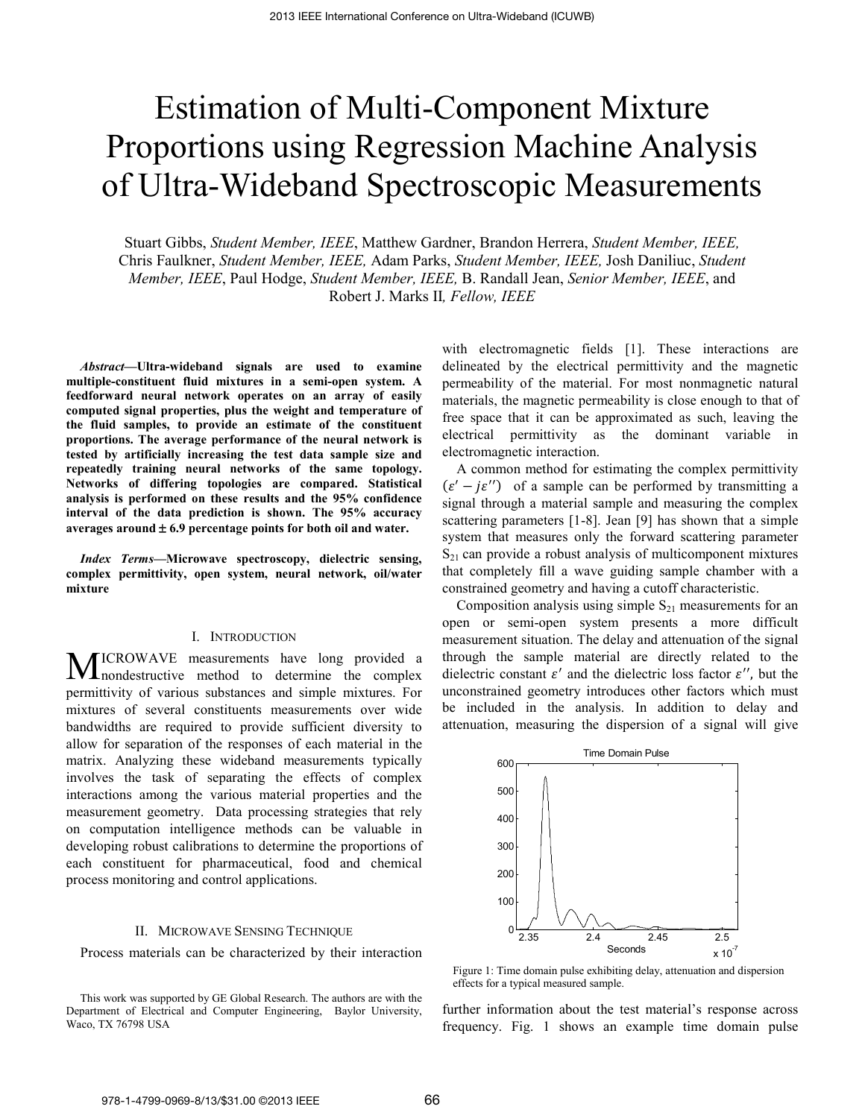# Estimation of Multi-Component Mixture Proportions using Regression Machine Analysis of Ultra-Wideband Spectroscopic Measurements

Stuart Gibbs, *Student Member, IEEE*, Matthew Gardner, Brandon Herrera, *Student Member, IEEE,* Chris Faulkner, *Student Member, IEEE,* Adam Parks, *Student Member, IEEE,* Josh Daniliuc, *Student Member, IEEE*, Paul Hodge, *Student Member, IEEE,* B. Randall Jean, *Senior Member, IEEE*, and Robert J. Marks II*, Fellow, IEEE*

*Abstract***—Ultra-wideband signals are used to examine multiple-constituent fluid mixtures in a semi-open system. A feedforward neural network operates on an array of easily computed signal properties, plus the weight and temperature of the fluid samples, to provide an estimate of the constituent proportions. The average performance of the neural network is tested by artificially increasing the test data sample size and repeatedly training neural networks of the same topology. Networks of differing topologies are compared. Statistical analysis is performed on these results and the 95% confidence interval of the data prediction is shown. The 95% accuracy**  averages around  $\pm$  6.9 percentage points for both oil and water.

*Index Terms***—Microwave spectroscopy, dielectric sensing, complex permittivity, open system, neural network, oil/water mixture** 

# I. INTRODUCTION

ICROWAVE measurements have long provided a MICROWAVE measurements have long provided a nondestructive method to determine the complex permittivity of various substances and simple mixtures. For mixtures of several constituents measurements over wide bandwidths are required to provide sufficient diversity to allow for separation of the responses of each material in the matrix. Analyzing these wideband measurements typically involves the task of separating the effects of complex interactions among the various material properties and the measurement geometry. Data processing strategies that rely on computation intelligence methods can be valuable in developing robust calibrations to determine the proportions of each constituent for pharmaceutical, food and chemical process monitoring and control applications.

## II. MICROWAVE SENSING TECHNIQUE

Process materials can be characterized by their interaction

This work was supported by GE Global Research. The authors are with the Department of Electrical and Computer Engineering, Baylor University, Waco, TX 76798 USA

with electromagnetic fields [1]. These interactions are delineated by the electrical permittivity and the magnetic permeability of the material. For most nonmagnetic natural materials, the magnetic permeability is close enough to that of free space that it can be approximated as such, leaving the electrical permittivity as the dominant variable in electromagnetic interaction.

A common method for estimating the complex permittivity  $(\varepsilon' - j\varepsilon'')$  of a sample can be performed by transmitting a signal through a material sample and measuring the complex scattering parameters [1-8]. Jean [9] has shown that a simple system that measures only the forward scattering parameter  $S_{21}$  can provide a robust analysis of multicomponent mixtures that completely fill a wave guiding sample chamber with a constrained geometry and having a cutoff characteristic.

Composition analysis using simple  $S_{21}$  measurements for an open or semi-open system presents a more difficult measurement situation. The delay and attenuation of the signal through the sample material are directly related to the dielectric constant  $\varepsilon'$  and the dielectric loss factor  $\varepsilon''$ , but the unconstrained geometry introduces other factors which must be included in the analysis. In addition to delay and attenuation, measuring the dispersion of a signal will give



Figure 1: Time domain pulse exhibiting delay, attenuation and dispersion effects for a typical measured sample.

further information about the test material's response across frequency. Fig. 1 shows an example time domain pulse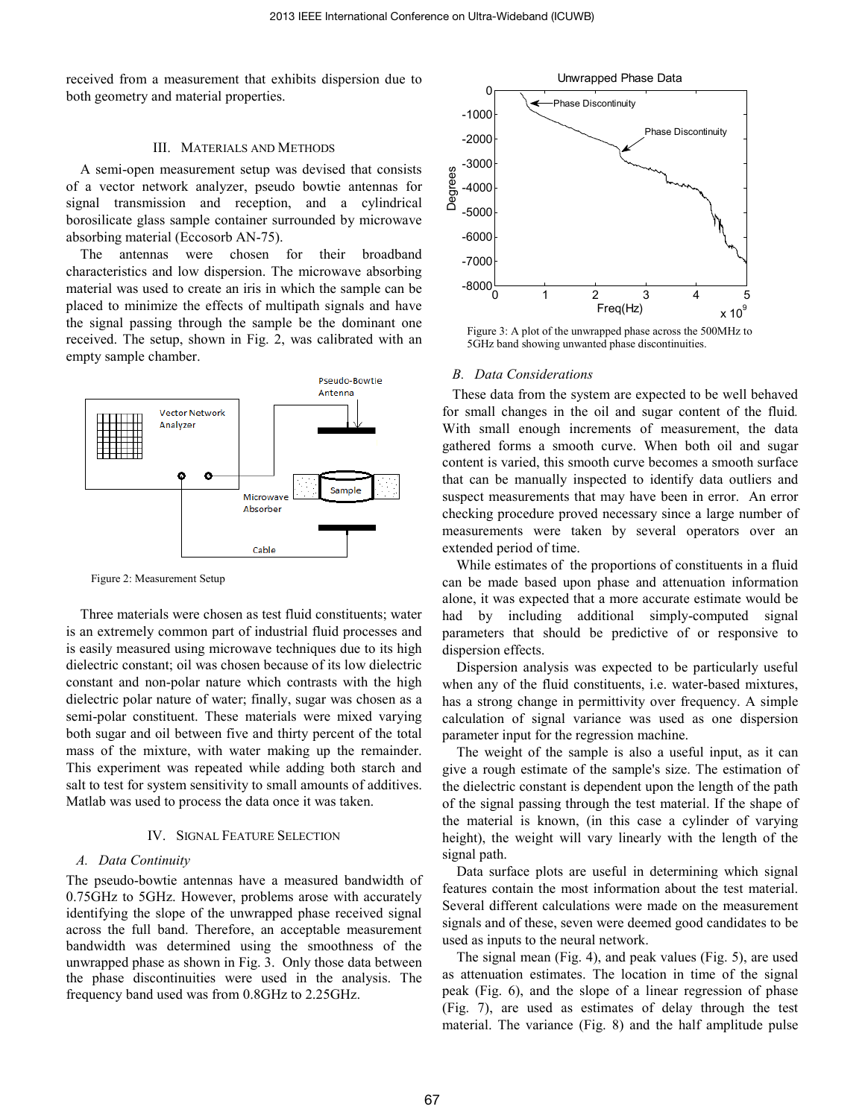received from a measurement that exhibits dispersion due to both geometry and material properties.

#### III. MATERIALS AND METHODS

A semi-open measurement setup was devised that consists of a vector network analyzer, pseudo bowtie antennas for signal transmission and reception, and a cylindrical borosilicate glass sample container surrounded by microwave absorbing material (Eccosorb AN-75).

The antennas were chosen for their broadband characteristics and low dispersion. The microwave absorbing material was used to create an iris in which the sample can be placed to minimize the effects of multipath signals and have the signal passing through the sample be the dominant one received. The setup, shown in Fig. 2, was calibrated with an empty sample chamber.



Figure 2: Measurement Setup

Three materials were chosen as test fluid constituents; water is an extremely common part of industrial fluid processes and is easily measured using microwave techniques due to its high dielectric constant; oil was chosen because of its low dielectric constant and non-polar nature which contrasts with the high dielectric polar nature of water; finally, sugar was chosen as a semi-polar constituent. These materials were mixed varying both sugar and oil between five and thirty percent of the total mass of the mixture, with water making up the remainder. This experiment was repeated while adding both starch and salt to test for system sensitivity to small amounts of additives. Matlab was used to process the data once it was taken.

## IV. SIGNAL FEATURE SELECTION

# *A. Data Continuity*

The pseudo-bowtie antennas have a measured bandwidth of 0.75GHz to 5GHz. However, problems arose with accurately identifying the slope of the unwrapped phase received signal across the full band. Therefore, an acceptable measurement bandwidth was determined using the smoothness of the unwrapped phase as shown in Fig. 3. Only those data between the phase discontinuities were used in the analysis. The frequency band used was from 0.8GHz to 2.25GHz.



Figure 3: A plot of the unwrapped phase across the 500MHz to 5GHz band showing unwanted phase discontinuities.

#### *B. Data Considerations*

These data from the system are expected to be well behaved for small changes in the oil and sugar content of the fluid*.*  With small enough increments of measurement, the data gathered forms a smooth curve. When both oil and sugar content is varied, this smooth curve becomes a smooth surface that can be manually inspected to identify data outliers and suspect measurements that may have been in error. An error checking procedure proved necessary since a large number of measurements were taken by several operators over an extended period of time.

While estimates of the proportions of constituents in a fluid can be made based upon phase and attenuation information alone, it was expected that a more accurate estimate would be had by including additional simply-computed signal parameters that should be predictive of or responsive to dispersion effects.

Dispersion analysis was expected to be particularly useful when any of the fluid constituents, i.e. water-based mixtures, has a strong change in permittivity over frequency. A simple calculation of signal variance was used as one dispersion parameter input for the regression machine.

The weight of the sample is also a useful input, as it can give a rough estimate of the sample's size. The estimation of the dielectric constant is dependent upon the length of the path of the signal passing through the test material. If the shape of the material is known, (in this case a cylinder of varying height), the weight will vary linearly with the length of the signal path.

Data surface plots are useful in determining which signal features contain the most information about the test material. Several different calculations were made on the measurement signals and of these, seven were deemed good candidates to be used as inputs to the neural network.

The signal mean (Fig. 4), and peak values (Fig. 5), are used as attenuation estimates. The location in time of the signal peak (Fig. 6), and the slope of a linear regression of phase (Fig. 7), are used as estimates of delay through the test material. The variance (Fig. 8) and the half amplitude pulse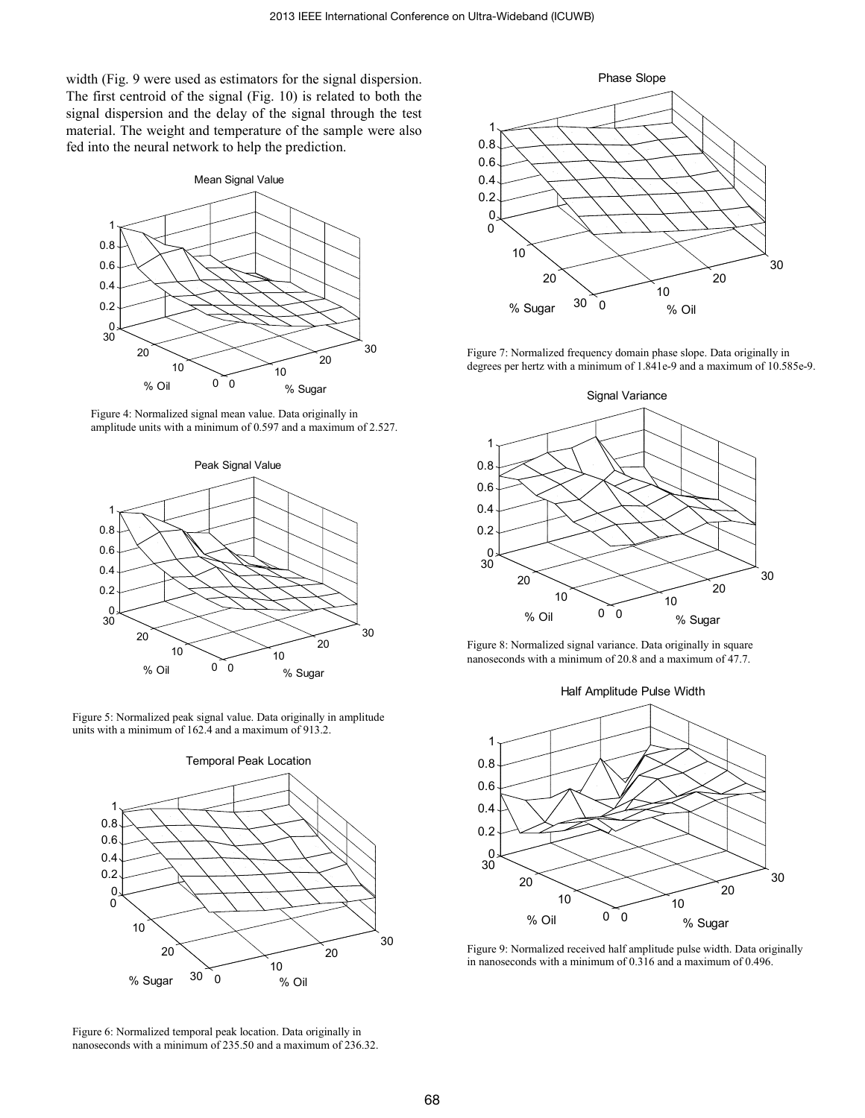width (Fig. 9 were used as estimators for the signal dispersion. The first centroid of the signal (Fig. 10) is related to both the signal dispersion and the delay of the signal through the test material. The weight and temperature of the sample were also fed into the neural network to help the prediction.



Figure 4: Normalized signal mean value. Data originally in amplitude units with a minimum of 0.597 and a maximum of 2.527.



Figure 5: Normalized peak signal value. Data originally in amplitude units with a minimum of 162.4 and a maximum of 913.2.



Figure 6: Normalized temporal peak location. Data originally in nanoseconds with a minimum of 235.50 and a maximum of 236.32.



Figure 7: Normalized frequency domain phase slope. Data originally in degrees per hertz with a minimum of 1.841e-9 and a maximum of 10.585e-9.



Figure 8: Normalized signal variance. Data originally in square nanoseconds with a minimum of 20.8 and a maximum of 47.7.



Figure 9: Normalized received half amplitude pulse width. Data originally in nanoseconds with a minimum of 0.316 and a maximum of 0.496.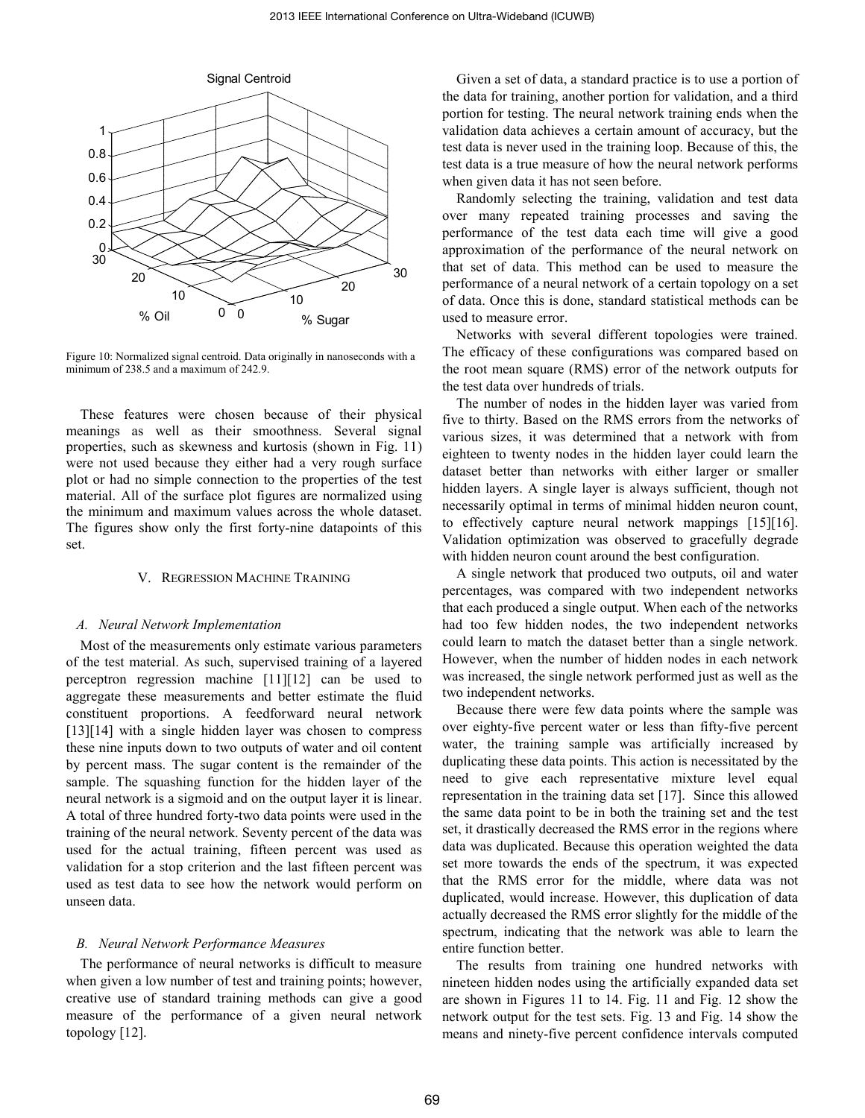

Figure 10: Normalized signal centroid. Data originally in nanoseconds with a minimum of 238.5 and a maximum of 242.9.

These features were chosen because of their physical meanings as well as their smoothness. Several signal properties, such as skewness and kurtosis (shown in Fig. 11) were not used because they either had a very rough surface plot or had no simple connection to the properties of the test material. All of the surface plot figures are normalized using the minimum and maximum values across the whole dataset. The figures show only the first forty-nine datapoints of this set.

#### V. REGRESSION MACHINE TRAINING

#### *A. Neural Network Implementation*

Most of the measurements only estimate various parameters of the test material. As such, supervised training of a layered perceptron regression machine [11][12] can be used to aggregate these measurements and better estimate the fluid constituent proportions. A feedforward neural network [13][14] with a single hidden layer was chosen to compress these nine inputs down to two outputs of water and oil content by percent mass. The sugar content is the remainder of the sample. The squashing function for the hidden layer of the neural network is a sigmoid and on the output layer it is linear. A total of three hundred forty-two data points were used in the training of the neural network. Seventy percent of the data was used for the actual training, fifteen percent was used as validation for a stop criterion and the last fifteen percent was used as test data to see how the network would perform on unseen data.

# *B. Neural Network Performance Measures*

The performance of neural networks is difficult to measure when given a low number of test and training points; however, creative use of standard training methods can give a good measure of the performance of a given neural network topology [12].

Given a set of data, a standard practice is to use a portion of the data for training, another portion for validation, and a third portion for testing. The neural network training ends when the validation data achieves a certain amount of accuracy, but the test data is never used in the training loop. Because of this, the test data is a true measure of how the neural network performs when given data it has not seen before.

Randomly selecting the training, validation and test data over many repeated training processes and saving the performance of the test data each time will give a good approximation of the performance of the neural network on that set of data. This method can be used to measure the performance of a neural network of a certain topology on a set of data. Once this is done, standard statistical methods can be used to measure error.

Networks with several different topologies were trained. The efficacy of these configurations was compared based on the root mean square (RMS) error of the network outputs for the test data over hundreds of trials.

The number of nodes in the hidden layer was varied from five to thirty. Based on the RMS errors from the networks of various sizes, it was determined that a network with from eighteen to twenty nodes in the hidden layer could learn the dataset better than networks with either larger or smaller hidden layers. A single layer is always sufficient, though not necessarily optimal in terms of minimal hidden neuron count, to effectively capture neural network mappings [15][16]. Validation optimization was observed to gracefully degrade with hidden neuron count around the best configuration.

A single network that produced two outputs, oil and water percentages, was compared with two independent networks that each produced a single output. When each of the networks had too few hidden nodes, the two independent networks could learn to match the dataset better than a single network. However, when the number of hidden nodes in each network was increased, the single network performed just as well as the two independent networks.

Because there were few data points where the sample was over eighty-five percent water or less than fifty-five percent water, the training sample was artificially increased by duplicating these data points. This action is necessitated by the need to give each representative mixture level equal representation in the training data set [17]. Since this allowed the same data point to be in both the training set and the test set, it drastically decreased the RMS error in the regions where data was duplicated. Because this operation weighted the data set more towards the ends of the spectrum, it was expected that the RMS error for the middle, where data was not duplicated, would increase. However, this duplication of data actually decreased the RMS error slightly for the middle of the spectrum, indicating that the network was able to learn the entire function better.

The results from training one hundred networks with nineteen hidden nodes using the artificially expanded data set are shown in Figures 11 to 14. Fig. 11 and Fig. 12 show the network output for the test sets. Fig. 13 and Fig. 14 show the means and ninety-five percent confidence intervals computed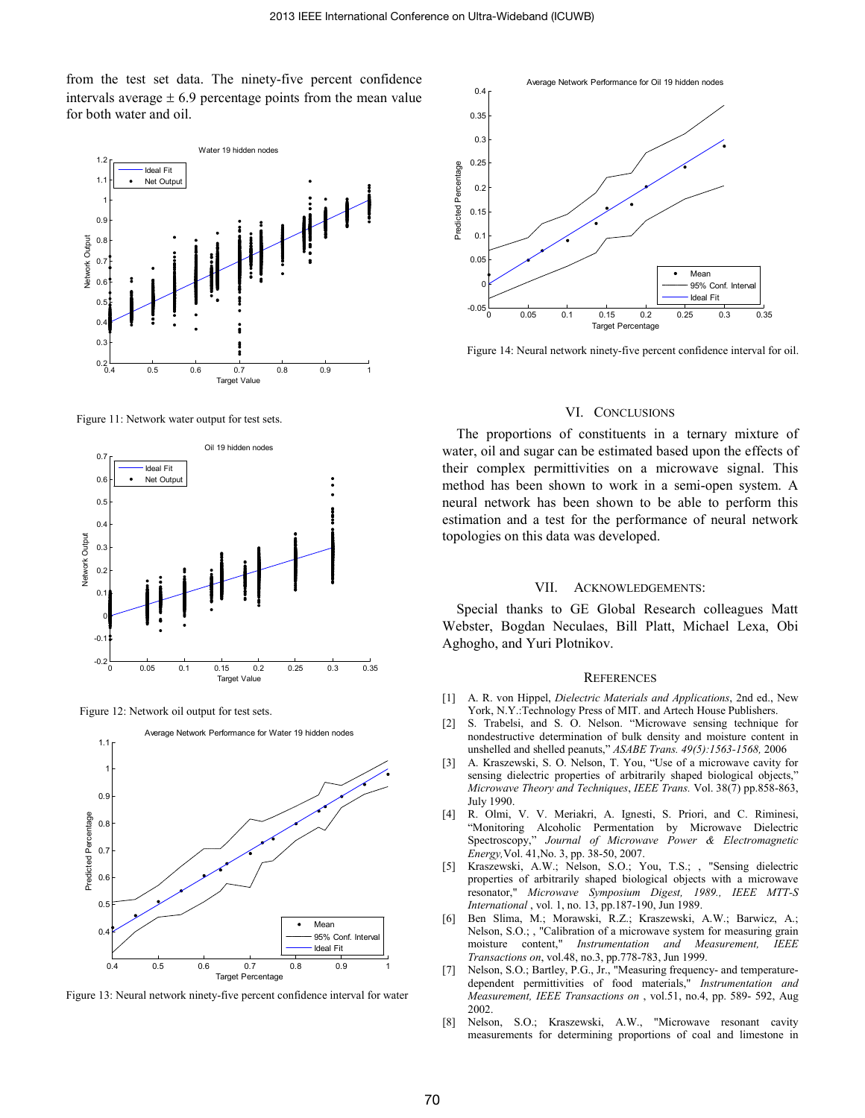from the test set data. The ninety-five percent confidence intervals average  $\pm 6.9$  percentage points from the mean value for both water and oil.



Figure 11: Network water output for test sets.



Figure 12: Network oil output for test sets.



Figure 13: Neural network ninety-five percent confidence interval for water



Figure 14: Neural network ninety-five percent confidence interval for oil.

## VI. CONCLUSIONS

The proportions of constituents in a ternary mixture of water, oil and sugar can be estimated based upon the effects of their complex permittivities on a microwave signal. This method has been shown to work in a semi-open system. A neural network has been shown to be able to perform this estimation and a test for the performance of neural network topologies on this data was developed.

## VII. ACKNOWLEDGEMENTS:

Special thanks to GE Global Research colleagues Matt Webster, Bogdan Neculaes, Bill Platt, Michael Lexa, Obi Aghogho, and Yuri Plotnikov.

#### **REFERENCES**

- [1] A. R. von Hippel, *Dielectric Materials and Applications*, 2nd ed., New York, N.Y.:Technology Press of MIT. and Artech House Publishers.
- [2] S. Trabelsi, and S. O. Nelson. "Microwave sensing technique for nondestructive determination of bulk density and moisture content in unshelled and shelled peanuts," *ASABE Trans. 49(5):1563-1568,* 2006
- [3] A. Kraszewski, S. O. Nelson, T. You, "Use of a microwave cavity for sensing dielectric properties of arbitrarily shaped biological objects,' *Microwave Theory and Techniques*, *IEEE Trans.* Vol. 38(7) pp.858-863, July 1990.
- [4] R. Olmi, V. V. Meriakri, A. Ignesti, S. Priori, and C. Riminesi, "Monitoring Alcoholic Permentation by Microwave Dielectric Spectroscopy," *Journal of Microwave Power & Electromagnetic Energy,*Vol. 41,No. 3, pp. 38-50, 2007.
- [5] Kraszewski, A.W.; Nelson, S.O.; You, T.S.; , "Sensing dielectric properties of arbitrarily shaped biological objects with a microwave resonator," *Microwave Symposium Digest, 1989., IEEE MTT-S International* , vol. 1, no. 13, pp.187-190, Jun 1989.
- [6] Ben Slima, M.; Morawski, R.Z.; Kraszewski, A.W.; Barwicz, A.; Nelson, S.O.; , "Calibration of a microwave system for measuring grain moisture content," *Instrumentation and Measurement, IEEE Transactions on*, vol.48, no.3, pp.778-783, Jun 1999.
- [7] Nelson, S.O.; Bartley, P.G., Jr., "Measuring frequency- and temperaturedependent permittivities of food materials," *Instrumentation and Measurement, IEEE Transactions on* , vol.51, no.4, pp. 589- 592, Aug 2002.
- [8] Nelson, S.O.; Kraszewski, A.W., "Microwave resonant cavity measurements for determining proportions of coal and limestone in